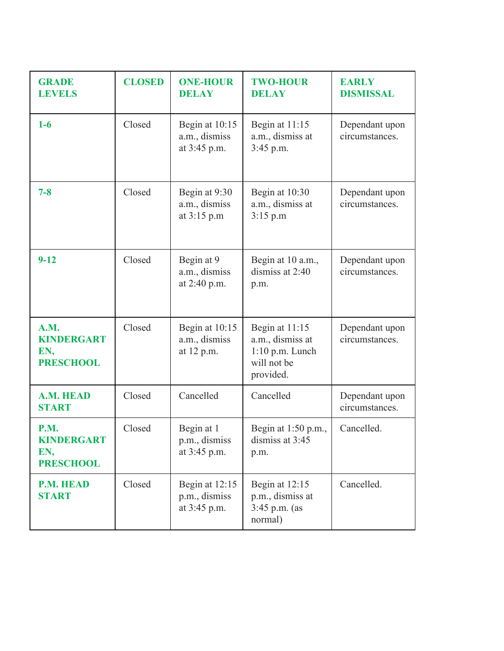| <b>GRADE</b><br><b>LEVELS</b>                               | <b>CLOSED</b> | <b>ONE-HOUR</b><br><b>DELAY</b>                   | <b>TWO-HOUR</b><br><b>DELAY</b>                                                     | <b>EARLY</b><br><b>DISMISSAL</b> |
|-------------------------------------------------------------|---------------|---------------------------------------------------|-------------------------------------------------------------------------------------|----------------------------------|
| $1-6$                                                       | Closed        | Begin at $10:15$<br>a.m., dismiss<br>at 3:45 p.m. | Begin at $11:15$<br>a.m., dismiss at<br>$3:45$ p.m.                                 | Dependant upon<br>circumstances. |
| $7 - 8$                                                     | Closed        | Begin at 9:30<br>a.m., dismiss<br>at $3:15$ p.m   | Begin at 10:30<br>a.m., dismiss at<br>3:15 p.m                                      | Dependant upon<br>circumstances. |
| $9 - 12$                                                    | Closed        | Begin at 9<br>a.m., dismiss<br>at 2:40 p.m.       | Begin at 10 a.m.,<br>dismiss at 2:40<br>p.m.                                        | Dependant upon<br>circumstances. |
| <b>A.M.</b><br><b>KINDERGART</b><br>EN,<br><b>PRESCHOOL</b> | Closed        | Begin at 10:15<br>a.m., dismiss<br>at 12 p.m.     | Begin at 11:15<br>a.m., dismiss at<br>$1:10$ p.m. Lunch<br>will not be<br>provided. | Dependant upon<br>circumstances. |
| <b>A.M. HEAD</b><br><b>START</b>                            | Closed        | Cancelled                                         | Cancelled                                                                           | Dependant upon<br>circumstances. |
| <b>P.M.</b><br><b>KINDERGART</b><br>EN,<br><b>PRESCHOOL</b> | Closed        | Begin at 1<br>p.m., dismiss<br>at 3:45 p.m.       | Begin at 1:50 p.m.,<br>dismiss at $3:45$<br>p.m.                                    | Cancelled.                       |
| <b>P.M. HEAD</b><br><b>START</b>                            | Closed        | Begin at $12:15$<br>p.m., dismiss<br>at 3:45 p.m. | Begin at $12:15$<br>p.m., dismiss at<br>$3:45$ p.m. (as<br>normal)                  | Cancelled.                       |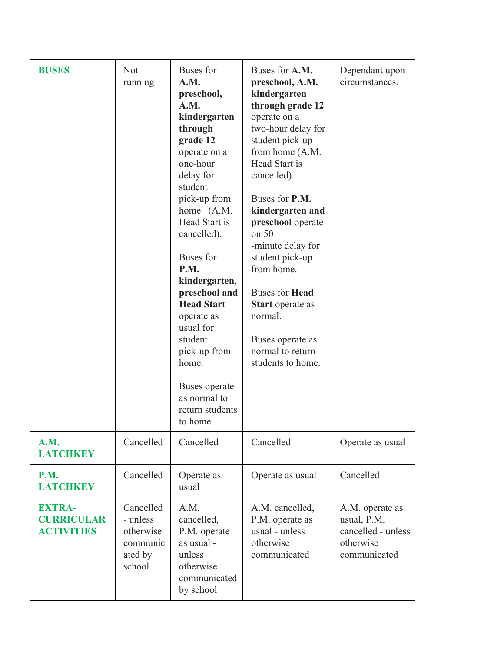| <b>BUSES</b>                                            | <b>Not</b><br>running                                               | Buses for<br>A.M.<br>preschool,<br>A.M.<br>kindergarten<br>through<br>grade 12<br>operate on a<br>one-hour<br>delay for<br>student<br>pick-up from<br>home (A.M.<br>Head Start is<br>cancelled).<br><b>Buses</b> for<br>P.M.<br>kindergarten,<br>preschool and<br><b>Head Start</b><br>operate as<br>usual for<br>student<br>pick-up from<br>home.<br>Buses operate<br>as normal to<br>return students<br>to home. | Buses for A.M.<br>preschool, A.M.<br>kindergarten<br>through grade 12<br>operate on a<br>two-hour delay for<br>student pick-up<br>from home (A.M.<br>Head Start is<br>cancelled).<br>Buses for P.M.<br>kindergarten and<br>preschool operate<br>on 50<br>-minute delay for<br>student pick-up<br>from home.<br><b>Buses for Head</b><br><b>Start</b> operate as<br>normal.<br>Buses operate as<br>normal to return<br>students to home. | Dependant upon<br>circumstances.                                                  |
|---------------------------------------------------------|---------------------------------------------------------------------|--------------------------------------------------------------------------------------------------------------------------------------------------------------------------------------------------------------------------------------------------------------------------------------------------------------------------------------------------------------------------------------------------------------------|-----------------------------------------------------------------------------------------------------------------------------------------------------------------------------------------------------------------------------------------------------------------------------------------------------------------------------------------------------------------------------------------------------------------------------------------|-----------------------------------------------------------------------------------|
| A.M.<br><b>LATCHKEY</b>                                 | Cancelled                                                           | Cancelled                                                                                                                                                                                                                                                                                                                                                                                                          | Cancelled                                                                                                                                                                                                                                                                                                                                                                                                                               | Operate as usual                                                                  |
| <b>P.M.</b><br><b>LATCHKEY</b>                          | Cancelled                                                           | Operate as<br>usual                                                                                                                                                                                                                                                                                                                                                                                                | Operate as usual                                                                                                                                                                                                                                                                                                                                                                                                                        | Cancelled                                                                         |
| <b>EXTRA-</b><br><b>CURRICULAR</b><br><b>ACTIVITIES</b> | Cancelled<br>- unless<br>otherwise<br>communic<br>ated by<br>school | A.M.<br>cancelled,<br>P.M. operate<br>as usual -<br>unless<br>otherwise<br>communicated<br>by school                                                                                                                                                                                                                                                                                                               | A.M. cancelled,<br>P.M. operate as<br>usual - unless<br>otherwise<br>communicated                                                                                                                                                                                                                                                                                                                                                       | A.M. operate as<br>usual, P.M.<br>cancelled - unless<br>otherwise<br>communicated |